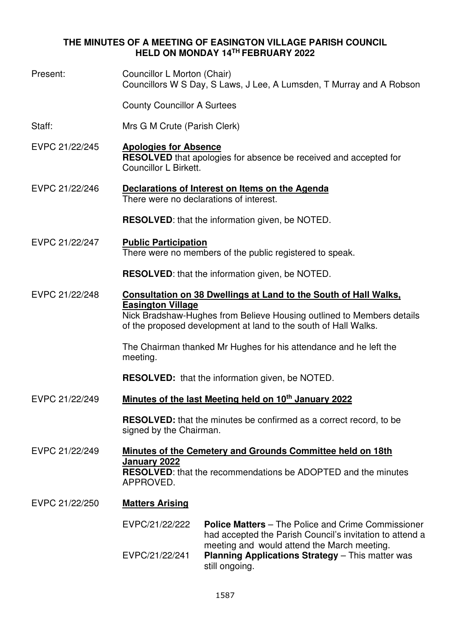## **THE MINUTES OF A MEETING OF EASINGTON VILLAGE PARISH COUNCIL HELD ON MONDAY 14TH FEBRUARY 2022**

Present: Councillor L Morton (Chair) Councillors W S Day, S Laws, J Lee, A Lumsden, T Murray and A Robson County Councillor A Surtees Staff: Mrs G M Crute (Parish Clerk) EVPC 21/22/245 **Apologies for Absence RESOLVED** that apologies for absence be received and accepted for Councillor L Birkett. EVPC 21/22/246 **Declarations of Interest on Items on the Agenda**  There were no declarations of interest. **RESOLVED**: that the information given, be NOTED. EVPC 21/22/247 **Public Participation**  There were no members of the public registered to speak. **RESOLVED**: that the information given, be NOTED. EVPC 21/22/248 **Consultation on 38 Dwellings at Land to the South of Hall Walks, Easington Village** Nick Bradshaw-Hughes from Believe Housing outlined to Members details of the proposed development at land to the south of Hall Walks. The Chairman thanked Mr Hughes for his attendance and he left the meeting. **RESOLVED:** that the information given, be NOTED. EVPC 21/22/249 **Minutes of the last Meeting held on 10th January 2022 RESOLVED:** that the minutes be confirmed as a correct record, to be signed by the Chairman. EVPC 21/22/249 **Minutes of the Cemetery and Grounds Committee held on 18th January 2022 RESOLVED**: that the recommendations be ADOPTED and the minutes APPROVED. EVPC 21/22/250 **Matters Arising**  EVPC/21/22/222 **Police Matters** – The Police and Crime Commissioner had accepted the Parish Council's invitation to attend a meeting and would attend the March meeting. EVPC/21/22/241 **Planning Applications Strategy** – This matter was still ongoing.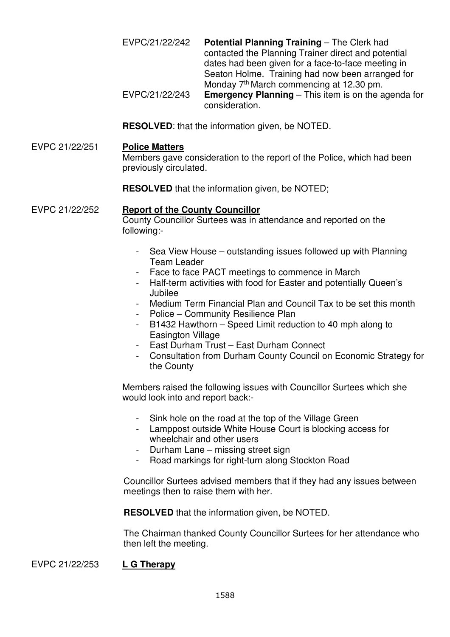EVPC/21/22/242 **Potential Planning Training** – The Clerk had contacted the Planning Trainer direct and potential dates had been given for a face-to-face meeting in Seaton Holme. Training had now been arranged for Monday 7<sup>th</sup> March commencing at 12.30 pm. EVPC/21/22/243 **Emergency Planning** – This item is on the agenda for consideration.

**RESOLVED**: that the information given, be NOTED.

#### EVPC 21/22/251 **Police Matters**

Members gave consideration to the report of the Police, which had been previously circulated.

**RESOLVED** that the information given, be NOTED:

### EVPC 21/22/252 **Report of the County Councillor**

County Councillor Surtees was in attendance and reported on the following:-

- Sea View House outstanding issues followed up with Planning Team Leader
- Face to face PACT meetings to commence in March
- Half-term activities with food for Easter and potentially Queen's Jubilee
- Medium Term Financial Plan and Council Tax to be set this month
- Police Community Resilience Plan
- B1432 Hawthorn Speed Limit reduction to 40 mph along to Easington Village
- East Durham Trust East Durham Connect
- Consultation from Durham County Council on Economic Strategy for the County

Members raised the following issues with Councillor Surtees which she would look into and report back:-

- Sink hole on the road at the top of the Village Green
- Lamppost outside White House Court is blocking access for wheelchair and other users
- Durham Lane missing street sign
- Road markings for right-turn along Stockton Road

Councillor Surtees advised members that if they had any issues between meetings then to raise them with her.

**RESOLVED** that the information given, be NOTED.

The Chairman thanked County Councillor Surtees for her attendance who then left the meeting.

EVPC 21/22/253 **L G Therapy**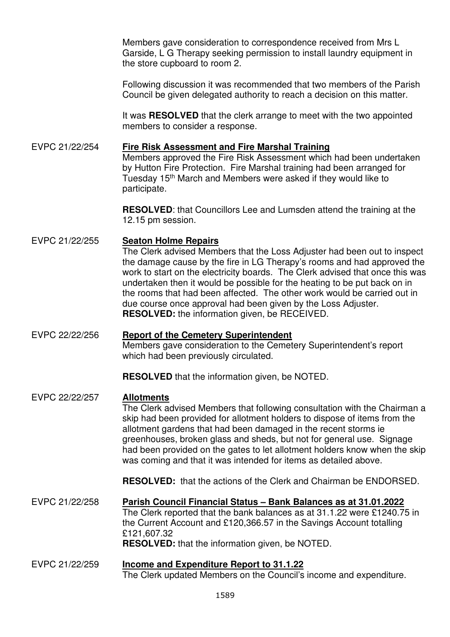Members gave consideration to correspondence received from Mrs L Garside, L G Therapy seeking permission to install laundry equipment in the store cupboard to room 2.

Following discussion it was recommended that two members of the Parish Council be given delegated authority to reach a decision on this matter.

It was **RESOLVED** that the clerk arrange to meet with the two appointed members to consider a response.

## EVPC 21/22/254 **Fire Risk Assessment and Fire Marshal Training**

Members approved the Fire Risk Assessment which had been undertaken by Hutton Fire Protection. Fire Marshal training had been arranged for Tuesday 15<sup>th</sup> March and Members were asked if they would like to participate.

**RESOLVED**: that Councillors Lee and Lumsden attend the training at the 12.15 pm session.

## EVPC 21/22/255 **Seaton Holme Repairs**

The Clerk advised Members that the Loss Adjuster had been out to inspect the damage cause by the fire in LG Therapy's rooms and had approved the work to start on the electricity boards. The Clerk advised that once this was undertaken then it would be possible for the heating to be put back on in the rooms that had been affected. The other work would be carried out in due course once approval had been given by the Loss Adjuster. **RESOLVED:** the information given, be RECEIVED.

## EVPC 22/22/256 **Report of the Cemetery Superintendent**

Members gave consideration to the Cemetery Superintendent's report which had been previously circulated.

**RESOLVED** that the information given, be NOTED.

# EVPC 22/22/257 **Allotments**

The Clerk advised Members that following consultation with the Chairman a skip had been provided for allotment holders to dispose of items from the allotment gardens that had been damaged in the recent storms ie greenhouses, broken glass and sheds, but not for general use. Signage had been provided on the gates to let allotment holders know when the skip was coming and that it was intended for items as detailed above.

**RESOLVED:** that the actions of the Clerk and Chairman be ENDORSED.

EVPC 21/22/258 **Parish Council Financial Status – Bank Balances as at 31.01.2022** The Clerk reported that the bank balances as at 31.1.22 were £1240.75 in the Current Account and £120,366.57 in the Savings Account totalling £121,607.32 **RESOLVED:** that the information given, be NOTED.

#### EVPC 21/22/259 **Income and Expenditure Report to 31.1.22**  The Clerk updated Members on the Council's income and expenditure.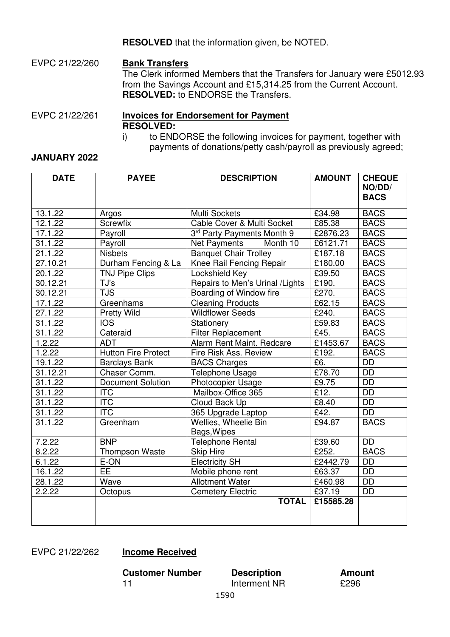**RESOLVED** that the information given, be NOTED.

EVPC 21/22/260 **Bank Transfers** The Clerk informed Members that the Transfers for January were £5012.93 from the Savings Account and £15,314.25 from the Current Account. **RESOLVED:** to ENDORSE the Transfers.

## EVPC 21/22/261 **Invoices for Endorsement for Payment RESOLVED:**

i) to ENDORSE the following invoices for payment, together with payments of donations/petty cash/payroll as previously agreed;

### **JANUARY 2022**

| <b>DATE</b>          | <b>PAYEE</b>               | <b>DESCRIPTION</b>               | <b>AMOUNT</b>                          | <b>CHEQUE</b><br>NO/DD/<br><b>BACS</b> |
|----------------------|----------------------------|----------------------------------|----------------------------------------|----------------------------------------|
| 13.1.22              | Argos                      | Multi Sockets                    | £34.98                                 | <b>BACS</b>                            |
| 12.1.22              | Screwfix                   | Cable Cover & Multi Socket       | $\overline{\text{\textsterling}}85.38$ | <b>BACS</b>                            |
| 17.1.22              | Payroll                    | 3rd Party Payments Month 9       | £2876.23                               | <b>BACS</b>                            |
| 31.1.22              | Payroll                    | Month 10<br><b>Net Payments</b>  | £6121.71                               | <b>BACS</b>                            |
| 21.1.22              | <b>Nisbets</b>             | <b>Banquet Chair Trolley</b>     | £187.18                                | <b>BACS</b>                            |
| 27.10.21             | Durham Fencing & La        | Knee Rail Fencing Repair         | £180.00                                | <b>BACS</b>                            |
| 20.1.22              | <b>TNJ Pipe Clips</b>      | Lockshield Key                   | £39.50                                 | <b>BACS</b>                            |
| 30.12.21             | TJ's                       | Repairs to Men's Urinal / Lights | £190.                                  | <b>BACS</b>                            |
| 30.12.21             | <b>TJS</b>                 | Boarding of Window fire          | £270.                                  | <b>BACS</b>                            |
| 17.1.22              | Greenhams                  | <b>Cleaning Products</b>         | £62.15                                 | <b>BACS</b>                            |
| 27.1.22              | <b>Pretty Wild</b>         | <b>Wildflower Seeds</b>          | £240.                                  | <b>BACS</b>                            |
| 31.1.22              | $\overline{OS}$            | Stationery                       | £59.83                                 | <b>BACS</b>                            |
| 31.1.22              | Cateraid                   | <b>Filter Replacement</b>        | £45.                                   | <b>BACS</b>                            |
| 1.2.22               | <b>ADT</b>                 | Alarm Rent Maint. Redcare        | £1453.67                               | <b>BACS</b>                            |
| 1.2.22               | <b>Hutton Fire Protect</b> | Fire Risk Ass. Review            | £192.                                  | <b>BACS</b>                            |
| 19.1.22              | <b>Barclays Bank</b>       | <b>BACS Charges</b>              | E6.                                    | <b>DD</b>                              |
| 31.12.21             | Chaser Comm.               | <b>Telephone Usage</b>           | £78.70                                 | <b>DD</b>                              |
| 31.1.22              | <b>Document Solution</b>   | Photocopier Usage                | £9.75                                  | $\overline{DD}$                        |
| 31.1.22              | <b>ITC</b>                 | Mailbox-Office 365               | £12.                                   | $\overline{DD}$                        |
| 31.1.22              | <b>ITC</b>                 | Cloud Back Up                    | £8.40                                  | <b>DD</b>                              |
| $31.1.\overline{22}$ | $\overline{\text{ITC}}$    | 365 Upgrade Laptop               | £42.                                   | $\overline{DD}$                        |
| 31.1.22              | Greenham                   | Wellies, Wheelie Bin             | £94.87                                 | <b>BACS</b>                            |
|                      |                            | Bags, Wipes                      |                                        |                                        |
| 7.2.22               | <b>BNP</b>                 | <b>Telephone Rental</b>          | £39.60                                 | <b>DD</b>                              |
| 8.2.22               | <b>Thompson Waste</b>      | <b>Skip Hire</b>                 | £252.                                  | <b>BACS</b>                            |
| 6.1.22               | E-ON                       | <b>Electricity SH</b>            | £2442.79                               | <b>DD</b>                              |
| 16.1.22              | <b>EE</b>                  | Mobile phone rent                | £63.37                                 | DD                                     |
| 28.1.22              | Wave                       | <b>Allotment Water</b>           | £460.98                                | <b>DD</b>                              |
| 2.2.22               | Octopus                    | <b>Cemetery Electric</b>         | £37.19                                 | <b>DD</b>                              |
|                      |                            | <b>TOTAL</b>                     | £15585.28                              |                                        |

## EVPC 21/22/262 **Income Received**

**Customer Number Description Amount**<br>11 **Description Amount**<br>11 **C**296

Interment NR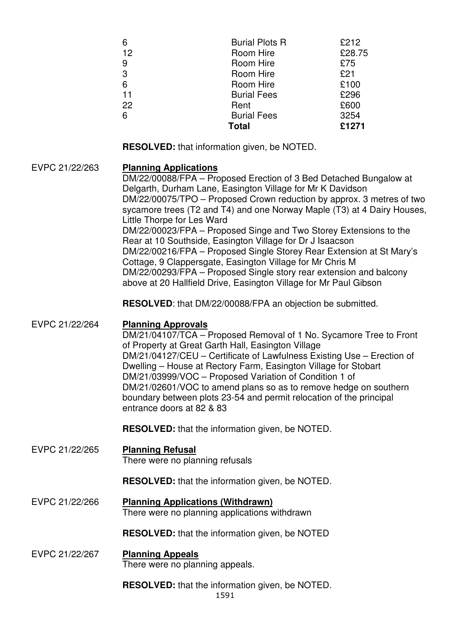| 6  | <b>Burial Plots R</b> | £212   |
|----|-----------------------|--------|
| 12 | Room Hire             | £28.75 |
| 9  | Room Hire             | £75    |
| 3  | Room Hire             | £21    |
| 6  | Room Hire             | £100   |
| 11 | <b>Burial Fees</b>    | £296   |
| 22 | Rent                  | £600   |
| 6  | <b>Burial Fees</b>    | 3254   |
|    | <b>Total</b>          | £1271  |

**RESOLVED:** that information given, be NOTED.

### EVPC 21/22/263 **Planning Applications**

DM/22/00088/FPA – Proposed Erection of 3 Bed Detached Bungalow at Delgarth, Durham Lane, Easington Village for Mr K Davidson DM/22/00075/TPO – Proposed Crown reduction by approx. 3 metres of two sycamore trees (T2 and T4) and one Norway Maple (T3) at 4 Dairy Houses, Little Thorpe for Les Ward DM/22/00023/FPA – Proposed Singe and Two Storey Extensions to the Rear at 10 Southside, Easington Village for Dr J Isaacson DM/22/00216/FPA – Proposed Single Storey Rear Extension at St Mary's Cottage, 9 Clappersgate, Easington Village for Mr Chris M DM/22/00293/FPA – Proposed Single story rear extension and balcony above at 20 Hallfield Drive, Easington Village for Mr Paul Gibson

**RESOLVED**: that DM/22/00088/FPA an objection be submitted.

| EVPC 21/22/264 | <b>Planning Approvals</b>                                                                                                                                                                                                                                                                                                                                                                                                         |
|----------------|-----------------------------------------------------------------------------------------------------------------------------------------------------------------------------------------------------------------------------------------------------------------------------------------------------------------------------------------------------------------------------------------------------------------------------------|
|                | DM/21/04107/TCA - Proposed Removal of 1 No. Sycamore Tree to Front                                                                                                                                                                                                                                                                                                                                                                |
|                | of Property at Great Garth Hall, Easington Village<br>DM/21/04127/CEU - Certificate of Lawfulness Existing Use - Erection of<br>Dwelling – House at Rectory Farm, Easington Village for Stobart<br>DM/21/03999/VOC - Proposed Variation of Condition 1 of<br>DM/21/02601/VOC to amend plans so as to remove hedge on southern<br>boundary between plots 23-54 and permit relocation of the principal<br>entrance doors at 82 & 83 |
|                | <b>RESOLVED:</b> that the information given, be NOTED.                                                                                                                                                                                                                                                                                                                                                                            |
| EVPC 21/22/265 | <b>Planning Refusal</b><br>There were no planning refusals                                                                                                                                                                                                                                                                                                                                                                        |
|                | <b>RESOLVED:</b> that the information given, be NOTED.                                                                                                                                                                                                                                                                                                                                                                            |
| EVPC 21/22/266 | <b>Planning Applications (Withdrawn)</b><br>There were no planning applications withdrawn                                                                                                                                                                                                                                                                                                                                         |
|                | <b>RESOLVED:</b> that the information given, be NOTED                                                                                                                                                                                                                                                                                                                                                                             |
| EVPC 21/22/267 | <b>Planning Appeals</b><br>There were no planning appeals.                                                                                                                                                                                                                                                                                                                                                                        |

1591 **RESOLVED:** that the information given, be NOTED.